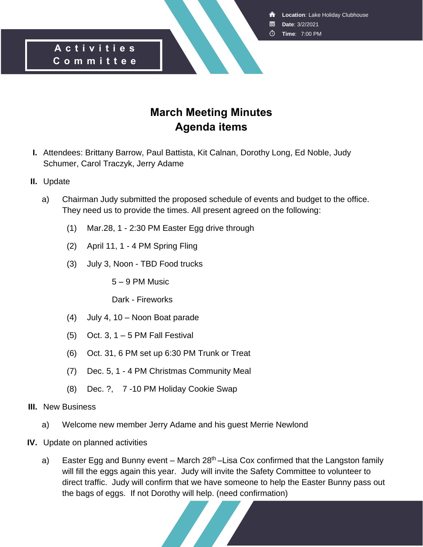**Location**: Lake Holiday Clubhouse

- **Date**: 3/2/2021
- **Time**: 7:00 PM

#### **A c t i v i t i e s C o m m i t t e e**

### **March Meeting Minutes Agenda items**

- **I.** Attendees: Brittany Barrow, Paul Battista, Kit Calnan, Dorothy Long, Ed Noble, Judy Schumer, Carol Traczyk, Jerry Adame
- **II.** Update
	- a) Chairman Judy submitted the proposed schedule of events and budget to the office. They need us to provide the times. All present agreed on the following:
		- (1) Mar.28, 1 2:30 PM Easter Egg drive through
		- (2) April 11, 1 4 PM Spring Fling
		- (3) July 3, Noon TBD Food trucks
			- 5 9 PM Music
			- Dark Fireworks
		- (4) July 4, 10 Noon Boat parade
		- $(5)$  Oct. 3, 1 5 PM Fall Festival
		- (6) Oct. 31, 6 PM set up 6:30 PM Trunk or Treat
		- (7) Dec. 5, 1 4 PM Christmas Community Meal
		- (8) Dec. ?, 7 -10 PM Holiday Cookie Swap
- **III.** New Business
	- a) Welcome new member Jerry Adame and his guest Merrie Newlond
- **IV.** Update on planned activities
	- a) Easter Egg and Bunny event March  $28<sup>th</sup>$ –Lisa Cox confirmed that the Langston family will fill the eggs again this year. Judy will invite the Safety Committee to volunteer to direct traffic. Judy will confirm that we have someone to help the Easter Bunny pass out the bags of eggs. If not Dorothy will help. (need confirmation)

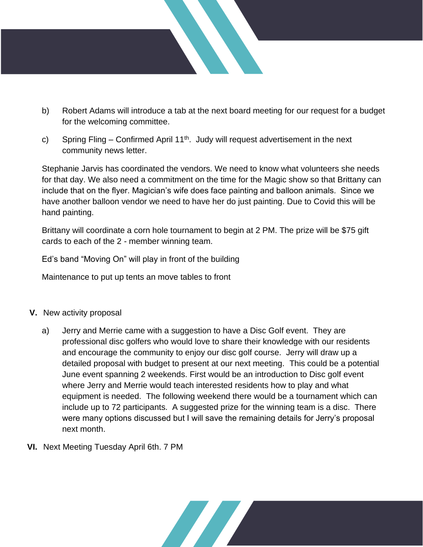

- b) Robert Adams will introduce a tab at the next board meeting for our request for a budget for the welcoming committee.
- c) Spring Fling Confirmed April  $11<sup>th</sup>$ . Judy will request advertisement in the next community news letter.

Stephanie Jarvis has coordinated the vendors. We need to know what volunteers she needs for that day. We also need a commitment on the time for the Magic show so that Brittany can include that on the flyer. Magician's wife does face painting and balloon animals. Since we have another balloon vendor we need to have her do just painting. Due to Covid this will be hand painting.

Brittany will coordinate a corn hole tournament to begin at 2 PM. The prize will be \$75 gift cards to each of the 2 - member winning team.

Ed's band "Moving On" will play in front of the building

Maintenance to put up tents an move tables to front

- **V.** New activity proposal
	- a) Jerry and Merrie came with a suggestion to have a Disc Golf event. They are professional disc golfers who would love to share their knowledge with our residents and encourage the community to enjoy our disc golf course. Jerry will draw up a detailed proposal with budget to present at our next meeting. This could be a potential June event spanning 2 weekends. First would be an introduction to Disc golf event where Jerry and Merrie would teach interested residents how to play and what equipment is needed. The following weekend there would be a tournament which can include up to 72 participants. A suggested prize for the winning team is a disc. There were many options discussed but I will save the remaining details for Jerry's proposal next month.
- **VI.** Next Meeting Tuesday April 6th. 7 PM

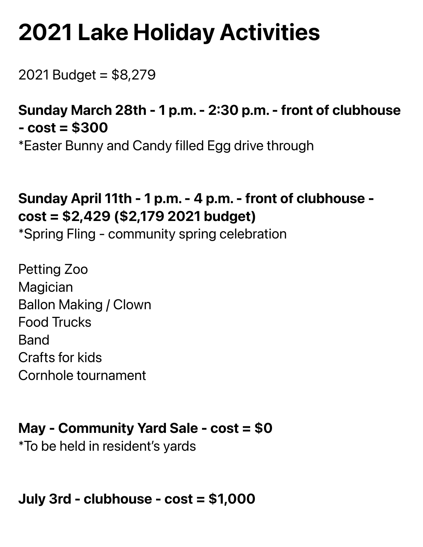# **2021 Lake Holiday Activities**

2021 Budget = \$8,279

# Sunday March 28th - 1 p.m. - 2:30 p.m. - front of clubhouse  $-cost = $300$

\*Easter Bunny and Candy filled Egg drive through

# Sunday April 11th - 1 p.m. - 4 p.m. - front of clubhouse cost = \$2,429 (\$2,179 2021 budget)

\*Spring Fling - community spring celebration

Petting Zoo **Magician** Ballon Making / Clown Food Trucks Band Crafts for kids Cornhole tournament

## May - Community Yard Sale - cost = \$0

\*To be held in resident's yards

July 3rd - clubhouse - cost = \$1,000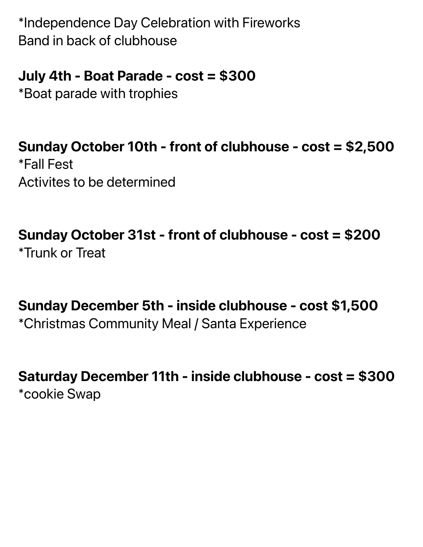\*Independence Day Celebration with Fireworks Band in back of clubhouse

### July 4th - Boat Parade - cost = \$300

\*Boat parade with trophies

Sunday October 10th - front of clubhouse - cost = \$2,500 \*Fall Fest Activites to be determined

Sunday October 31st - front of clubhouse - cost = \$200 \*Trunk or Treat

Sunday December 5th - inside clubhouse - cost \$1,500 \*Christmas Community Meal / Santa Experience

Saturday December 11th - inside clubhouse - cost = \$300 \*cookie Swap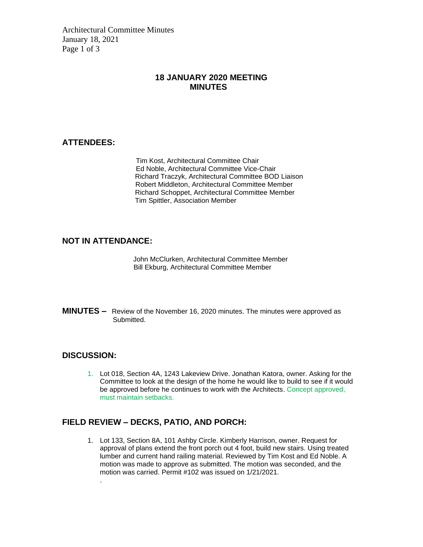Architectural Committee Minutes January 18, 2021 Page 1 of 3

#### **18 JANUARY 2020 MEETING MINUTES**

#### **ATTENDEES:**

Tim Kost, Architectural Committee Chair Ed Noble, Architectural Committee Vice-Chair Richard Traczyk, Architectural Committee BOD Liaison Robert Middleton, Architectural Committee Member Richard Schoppet, Architectural Committee Member Tim Spittler, Association Member

#### **NOT IN ATTENDANCE:**

John McClurken, Architectural Committee Member Bill Ekburg, Architectural Committee Member

**MINUTES –** Review of the November 16, 2020 minutes. The minutes were approved as Submitted.

#### **DISCUSSION:**

.

1. Lot 018, Section 4A, 1243 Lakeview Drive. Jonathan Katora, owner. Asking for the Committee to look at the design of the home he would like to build to see if it would be approved before he continues to work with the Architects. Concept approved, must maintain setbacks.

#### **FIELD REVIEW – DECKS, PATIO, AND PORCH:**

1. Lot 133, Section 8A, 101 Ashby Circle. Kimberly Harrison, owner. Request for approval of plans extend the front porch out 4 foot, build new stairs. Using treated lumber and current hand railing material. Reviewed by Tim Kost and Ed Noble. A motion was made to approve as submitted. The motion was seconded, and the motion was carried. Permit #102 was issued on 1/21/2021.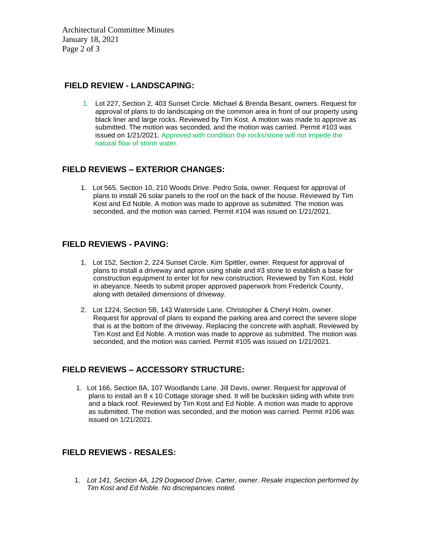Architectural Committee Minutes January 18, 2021 Page 2 of 3

#### **FIELD REVIEW - LANDSCAPING:**

1. Lot 227, Section 2, 403 Sunset Circle. Michael & Brenda Besant, owners. Request for approval of plans to do landscaping on the common area in front of our property using black liner and large rocks. Reviewed by Tim Kost. A motion was made to approve as submitted. The motion was seconded, and the motion was carried. Permit #103 was issued on 1/21/2021. Approved with condition the rocks/stone will not impede the natural flow of storm water.

#### **FIELD REVIEWS – EXTERIOR CHANGES:**

1. Lot 565, Section 10, 210 Woods Drive. Pedro Sola, owner. Request for approval of plans to install 26 solar panels to the roof on the back of the house. Reviewed by Tim Kost and Ed Noble. A motion was made to approve as submitted. The motion was seconded, and the motion was carried. Permit #104 was issued on 1/21/2021.

#### **FIELD REVIEWS - PAVING:**

- 1. Lot 152, Section 2, 224 Sunset Circle. Kim Spittler, owner. Request for approval of plans to install a driveway and apron using shale and #3 stone to establish a base for construction equipment to enter lot for new construction. Reviewed by Tim Kost. Hold in abeyance. Needs to submit proper approved paperwork from Frederick County, along with detailed dimensions of driveway.
- 2. Lot 1224, Section 5B, 143 Waterside Lane. Christopher & Cheryl Holm, owner. Request for approval of plans to expand the parking area and correct the severe slope that is at the bottom of the driveway. Replacing the concrete with asphalt. Reviewed by Tim Kost and Ed Noble. A motion was made to approve as submitted. The motion was seconded, and the motion was carried. Permit #105 was issued on 1/21/2021.

#### **FIELD REVIEWS – ACCESSORY STRUCTURE:**

1. Lot 166, Section 8A, 107 Woodlands Lane. Jill Davis, owner. Request for approval of plans to install an 8 x 10 Cottage storage shed. It will be buckskin siding with white trim and a black roof. Reviewed by Tim Kost and Ed Noble. A motion was made to approve as submitted. The motion was seconded, and the motion was carried. Permit #106 was issued on 1/21/2021.

#### **FIELD REVIEWS - RESALES:**

1. *Lot 141, Section 4A, 129 Dogwood Drive. Carter, owner. Resale inspection performed by Tim Kost and Ed Noble. No discrepancies noted.*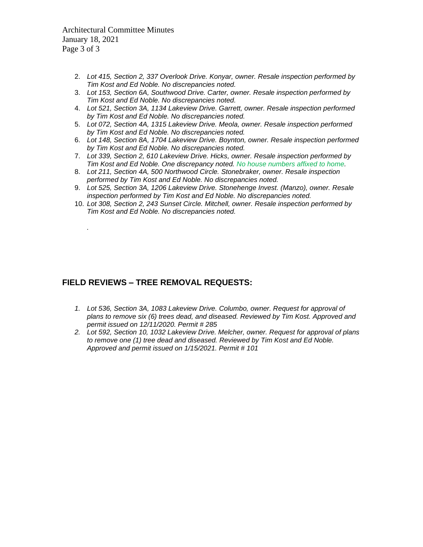Architectural Committee Minutes January 18, 2021 Page 3 of 3

*.*

- 2. *Lot 415, Section 2, 337 Overlook Drive. Konyar, owner. Resale inspection performed by Tim Kost and Ed Noble. No discrepancies noted.*
- 3. *Lot 153, Section 6A, Southwood Drive. Carter, owner. Resale inspection performed by Tim Kost and Ed Noble. No discrepancies noted.*
- 4. *Lot 521, Section 3A, 1134 Lakeview Drive. Garrett, owner. Resale inspection performed by Tim Kost and Ed Noble. No discrepancies noted.*
- 5. *Lot 072, Section 4A, 1315 Lakeview Drive. Meola, owner. Resale inspection performed by Tim Kost and Ed Noble. No discrepancies noted.*
- 6. *Lot 148, Section 8A, 1704 Lakeview Drive. Boynton, owner. Resale inspection performed by Tim Kost and Ed Noble. No discrepancies noted.*
- 7. *Lot 339, Section 2, 610 Lakeview Drive. Hicks, owner. Resale inspection performed by Tim Kost and Ed Noble. One discrepancy noted. No house numbers affixed to home.*
- 8. *Lot 211, Section 4A, 500 Northwood Circle. Stonebraker, owner. Resale inspection performed by Tim Kost and Ed Noble. No discrepancies noted.*
- 9. *Lot 525, Section 3A, 1206 Lakeview Drive. Stonehenge Invest. (Manzo), owner. Resale inspection performed by Tim Kost and Ed Noble. No discrepancies noted.*
- 10. *Lot 308, Section 2, 243 Sunset Circle. Mitchell, owner. Resale inspection performed by Tim Kost and Ed Noble. No discrepancies noted.*

#### **FIELD REVIEWS – TREE REMOVAL REQUESTS:**

- *1. Lot 536, Section 3A, 1083 Lakeview Drive. Columbo, owner. Request for approval of plans to remove six (6) trees dead, and diseased. Reviewed by Tim Kost. Approved and permit issued on 12/11/2020. Permit # 285*
- *2. Lot 592, Section 10, 1032 Lakeview Drive. Melcher, owner. Request for approval of plans to remove one (1) tree dead and diseased. Reviewed by Tim Kost and Ed Noble. Approved and permit issued on 1/15/2021. Permit # 101*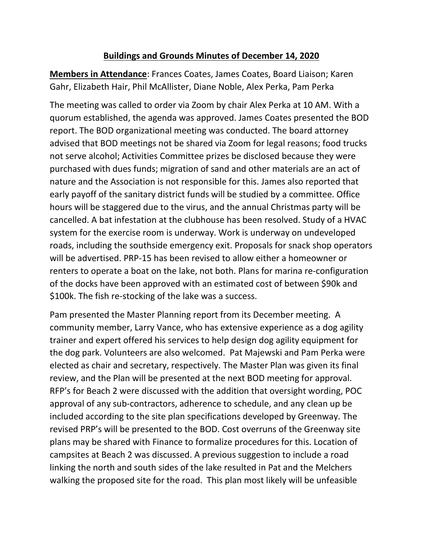#### **Buildings and Grounds Minutes of December 14, 2020**

**Members in Attendance**: Frances Coates, James Coates, Board Liaison; Karen Gahr, Elizabeth Hair, Phil McAllister, Diane Noble, Alex Perka, Pam Perka

The meeting was called to order via Zoom by chair Alex Perka at 10 AM. With a quorum established, the agenda was approved. James Coates presented the BOD report. The BOD organizational meeting was conducted. The board attorney advised that BOD meetings not be shared via Zoom for legal reasons; food trucks not serve alcohol; Activities Committee prizes be disclosed because they were purchased with dues funds; migration of sand and other materials are an act of nature and the Association is not responsible for this. James also reported that early payoff of the sanitary district funds will be studied by a committee. Office hours will be staggered due to the virus, and the annual Christmas party will be cancelled. A bat infestation at the clubhouse has been resolved. Study of a HVAC system for the exercise room is underway. Work is underway on undeveloped roads, including the southside emergency exit. Proposals for snack shop operators will be advertised. PRP-15 has been revised to allow either a homeowner or renters to operate a boat on the lake, not both. Plans for marina re-configuration of the docks have been approved with an estimated cost of between \$90k and \$100k. The fish re-stocking of the lake was a success.

Pam presented the Master Planning report from its December meeting. A community member, Larry Vance, who has extensive experience as a dog agility trainer and expert offered his services to help design dog agility equipment for the dog park. Volunteers are also welcomed. Pat Majewski and Pam Perka were elected as chair and secretary, respectively. The Master Plan was given its final review, and the Plan will be presented at the next BOD meeting for approval. RFP's for Beach 2 were discussed with the addition that oversight wording, POC approval of any sub-contractors, adherence to schedule, and any clean up be included according to the site plan specifications developed by Greenway. The revised PRP's will be presented to the BOD. Cost overruns of the Greenway site plans may be shared with Finance to formalize procedures for this. Location of campsites at Beach 2 was discussed. A previous suggestion to include a road linking the north and south sides of the lake resulted in Pat and the Melchers walking the proposed site for the road. This plan most likely will be unfeasible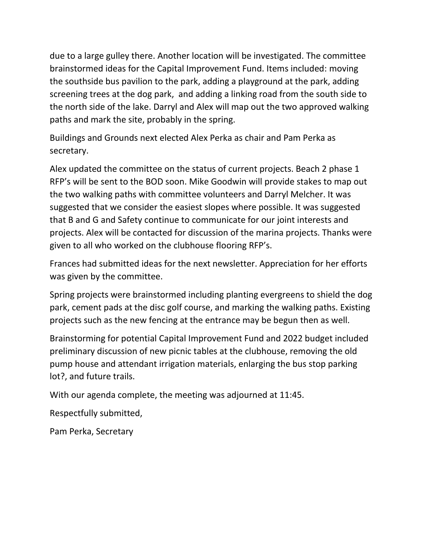due to a large gulley there. Another location will be investigated. The committee brainstormed ideas for the Capital Improvement Fund. Items included: moving the southside bus pavilion to the park, adding a playground at the park, adding screening trees at the dog park, and adding a linking road from the south side to the north side of the lake. Darryl and Alex will map out the two approved walking paths and mark the site, probably in the spring.

Buildings and Grounds next elected Alex Perka as chair and Pam Perka as secretary.

Alex updated the committee on the status of current projects. Beach 2 phase 1 RFP's will be sent to the BOD soon. Mike Goodwin will provide stakes to map out the two walking paths with committee volunteers and Darryl Melcher. It was suggested that we consider the easiest slopes where possible. It was suggested that B and G and Safety continue to communicate for our joint interests and projects. Alex will be contacted for discussion of the marina projects. Thanks were given to all who worked on the clubhouse flooring RFP's.

Frances had submitted ideas for the next newsletter. Appreciation for her efforts was given by the committee.

Spring projects were brainstormed including planting evergreens to shield the dog park, cement pads at the disc golf course, and marking the walking paths. Existing projects such as the new fencing at the entrance may be begun then as well.

Brainstorming for potential Capital Improvement Fund and 2022 budget included preliminary discussion of new picnic tables at the clubhouse, removing the old pump house and attendant irrigation materials, enlarging the bus stop parking lot?, and future trails.

With our agenda complete, the meeting was adjourned at 11:45.

Respectfully submitted,

Pam Perka, Secretary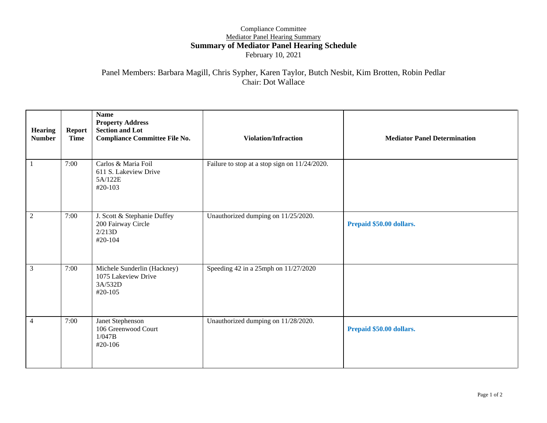#### Compliance Committee Mediator Panel Hearing Summary **Summary of Mediator Panel Hearing Schedule** February 10, 2021

#### Panel Members: Barbara Magill, Chris Sypher, Karen Taylor, Butch Nesbit, Kim Brotten, Robin Pedlar Chair: Dot Wallace

| <b>Hearing</b><br><b>Number</b> | <b>Report</b><br><b>Time</b> | <b>Name</b><br><b>Property Address</b><br><b>Section and Lot</b><br><b>Compliance Committee File No.</b> | <b>Violation/Infraction</b>                   | <b>Mediator Panel Determination</b> |
|---------------------------------|------------------------------|----------------------------------------------------------------------------------------------------------|-----------------------------------------------|-------------------------------------|
| 1                               | 7:00                         | Carlos & Maria Foil<br>611 S. Lakeview Drive<br>5A/122E<br>#20-103                                       | Failure to stop at a stop sign on 11/24/2020. |                                     |
| $\overline{c}$                  | 7:00                         | J. Scott & Stephanie Duffey<br>200 Fairway Circle<br>2/213D<br>#20-104                                   | Unauthorized dumping on 11/25/2020.           | Prepaid \$50.00 dollars.            |
| 3                               | 7:00                         | Michele Sunderlin (Hackney)<br>1075 Lakeview Drive<br>3A/532D<br>#20-105                                 | Speeding 42 in a 25mph on 11/27/2020          |                                     |
| 4                               | 7:00                         | Janet Stephenson<br>106 Greenwood Court<br>1/047B<br>#20-106                                             | Unauthorized dumping on 11/28/2020.           | Prepaid \$50.00 dollars.            |